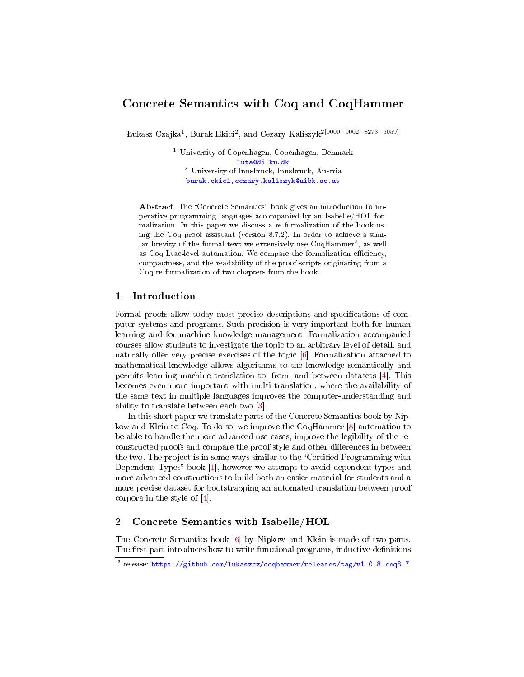# Concrete Semantics with Coq and CoqHammer

ukasz Czajka<sup>1</sup> , Burak Ekici<sup>2</sup> , and Cezary Kaliszyk2[0000−0002−8273−6059]

<sup>1</sup> University of Copenhagen, Copenhagen, Denmark <luta@di.ku.dk> <sup>2</sup> University of Innsbruck, Innsbruck, Austria <burak.ekici,cezary.kaliszyk@uibk.ac.at>

Abstract The "Concrete Semantics" book gives an introduction to imperative programming languages accompanied by an Isabelle/HOL formalization. In this paper we discuss a re-formalization of the book using the Coq proof assistant (version 8.7.2). In order to achieve a simi-lar brevity of the formal text we extensively use CoqHammer<sup>[3](#page-0-0)</sup>, as well as Coq Ltac-level automation. We compare the formalization efficiency, compactness, and the readability of the proof scripts originating from a Coq re-formalization of two chapters from the book.

## 1 Introduction

Formal proofs allow today most precise descriptions and specifications of computer systems and programs. Such precision is very important both for human learning and for machine knowledge management. Formalization accompanied courses allow students to investigate the topic to an arbitrary level of detail, and naturally offer very precise exercises of the topic [\[6\]](#page-5-0). Formalization attached to mathematical knowledge allows algorithms to the knowledge semantically and permits learning machine translation to, from, and between datasets [\[4\]](#page-5-1). This becomes even more important with multi-translation, where the availability of the same text in multiple languages improves the computer-understanding and ability to translate between each two [\[3\]](#page-5-2).

In this short paper we translate parts of the Concrete Semantics book by Nipkow and Klein to Coq. To do so, we improve the CoqHammer [\[8\]](#page-5-3) automation to be able to handle the more advanced use-cases, improve the legibility of the reconstructed proofs and compare the proof style and other differences in between the two. The project is in some ways similar to the "Certified Programming with Dependent Types" book  $[1]$ , however we attempt to avoid dependent types and more advanced constructions to build both an easier material for students and a more precise dataset for bootstrapping an automated translation between proof corpora in the style of [\[4\]](#page-5-1).

### 2 Concrete Semantics with Isabelle/HOL

The Concrete Semantics book [\[6\]](#page-5-0) by Nipkow and Klein is made of two parts. The first part introduces how to write functional programs, inductive definitions

<span id="page-0-0"></span><sup>3</sup> release: <https://github.com/lukaszcz/coqhammer/releases/tag/v1.0.8-coq8.7>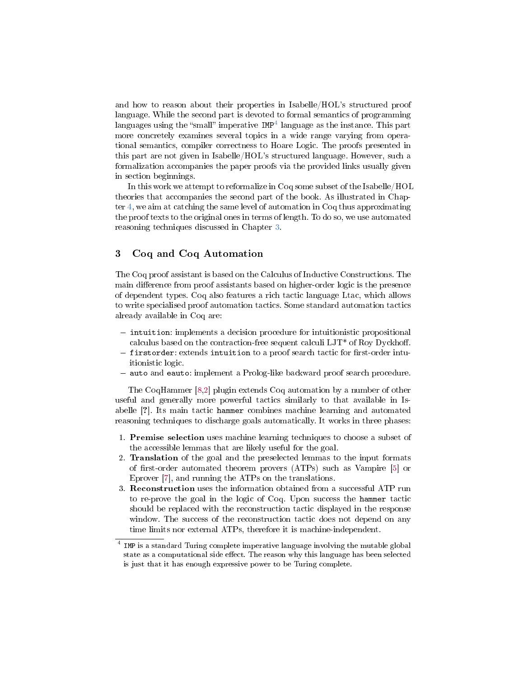and how to reason about their properties in Isabelle/HOL's structured proof language. While the second part is devoted to formal semantics of programming languages using the "small" imperative  $IMP<sup>4</sup>$  $IMP<sup>4</sup>$  $IMP<sup>4</sup>$  language as the instance. This part more concretely examines several topics in a wide range varying from operational semantics, compiler correctness to Hoare Logic. The proofs presented in this part are not given in Isabelle/HOL's structured language. However, such a formalization accompanies the paper proofs via the provided links usually given in section beginnings.

In this work we attempt to reformalize in Coq some subset of the Isabelle/HOL theories that accompanies the second part of the book. As illustrated in Chapter [4,](#page-2-0) we aim at catching the same level of automation in Coq thus approximating the proof texts to the original ones in terms of length. To do so, we use automated reasoning techniques discussed in Chapter [3.](#page-1-1)

## <span id="page-1-1"></span>3 Coq and Coq Automation

The Coq proof assistant is based on the Calculus of Inductive Constructions. The main difference from proof assistants based on higher-order logic is the presence of dependent types. Coq also features a rich tactic language Ltac, which allows to write specialised proof automation tactics. Some standard automation tactics already available in Coq are:

- intuition: implements a decision procedure for intuitionistic propositional calculus based on the contraction-free sequent calculi  $LJT^*$  of Roy Dyckhoff.
- firstorder: extends intuition to a proof search tactic for first-order intuitionistic logic.
- auto and eauto: implement a Prolog-like backward proof search procedure.

The CoqHammer [\[8,](#page-5-3)[2\]](#page-5-5) plugin extends Coq automation by a number of other useful and generally more powerful tactics similarly to that available in Isabelle [?]. Its main tactic hammer combines machine learning and automated reasoning techniques to discharge goals automatically. It works in three phases:

- 1. Premise selection uses machine learning techniques to choose a subset of the accessible lemmas that are likely useful for the goal.
- 2. Translation of the goal and the preselected lemmas to the input formats of first-order automated theorem provers (ATPs) such as Vampire [\[5\]](#page-5-6) or Eprover [\[7\]](#page-5-7), and running the ATPs on the translations.
- 3. Reconstruction uses the information obtained from a successful ATP run to re-prove the goal in the logic of Coq. Upon success the hammer tactic should be replaced with the reconstruction tactic displayed in the response window. The success of the reconstruction tactic does not depend on any time limits nor external ATPs, therefore it is machine-independent.

<span id="page-1-0"></span> $^4$  IMP is a standard Turing complete imperative language involving the mutable global state as a computational side effect. The reason why this language has been selected is just that it has enough expressive power to be Turing complete.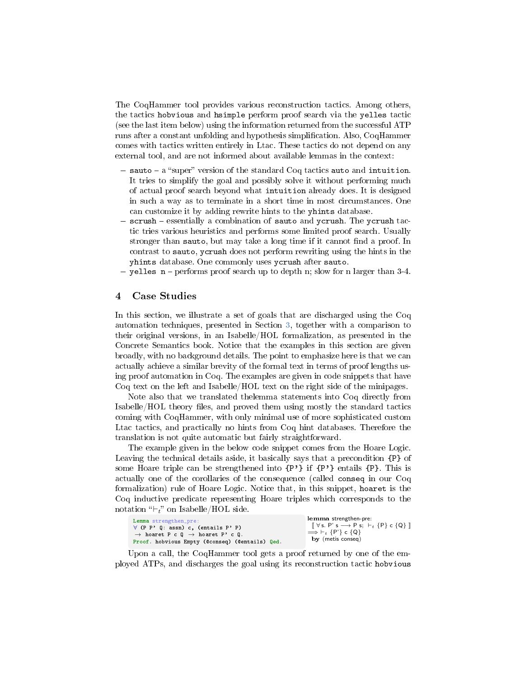The CoqHammer tool provides various reconstruction tactics. Among others, the tactics hobvious and hsimple perform proof search via the yelles tactic (see the last item below) using the information returned from the successful ATP runs after a constant unfolding and hypothesis simplication. Also, CoqHammer comes with tactics written entirely in Ltac. These tactics do not depend on any external tool, and are not informed about available lemmas in the context:

- $-$  sauto  $-$  a "super" version of the standard Coq tactics auto and intuition. It tries to simplify the goal and possibly solve it without performing much of actual proof search beyond what intuition already does. It is designed in such a way as to terminate in a short time in most circumstances. One can customize it by adding rewrite hints to the yhints database.
- scrush essentially a combination of sauto and ycrush. The ycrush tactic tries various heuristics and performs some limited proof search. Usually stronger than sauto, but may take a long time if it cannot find a proof. In contrast to sauto, ycrush does not perform rewriting using the hints in the yhints database. One commonly uses ycrush after sauto.
- yelles  $n$  performs proof search up to depth n; slow for n larger than 3-4.

### <span id="page-2-0"></span>4 Case Studies

In this section, we illustrate a set of goals that are discharged using the Coq automation techniques, presented in Section [3,](#page-1-1) together with a comparison to their original versions, in an Isabelle/HOL formalization, as presented in the Concrete Semantics book. Notice that the examples in this section are given broadly, with no background details. The point to emphasize here is that we can actually achieve a similar brevity of the formal text in terms of proof lengths using proof automation in Coq. The examples are given in code snippets that have Coq text on the left and Isabelle/HOL text on the right side of the minipages.

Note also that we translated thelemma statements into Coq directly from Isabelle/HOL theory files, and proved them using mostly the standard tactics coming with CoqHammer, with only minimal use of more sophisticated custom Ltac tactics, and practically no hints from Coq hint databases. Therefore the translation is not quite automatic but fairly straightforward.

The example given in the below code snippet comes from the Hoare Logic. Leaving the technical details aside, it basically says that a precondition {P} of some Hoare triple can be strengthened into  $\{P'\}$  if  $\{P'\}$  entails  $\{P\}$ . This is actually one of the corollaries of the consequence (called conseq in our Coq formalization) rule of Hoare Logic. Notice that, in this snippet, hoaret is the Coq inductive predicate representing Hoare triples which corresponds to the notation " $\vdash_t$ " on Isabelle/HOL side.

| Lemma strengthen_pre:                                                                                      | lemma strengthen-pre:                                                                                                                  |
|------------------------------------------------------------------------------------------------------------|----------------------------------------------------------------------------------------------------------------------------------------|
| $\forall$ (P P' Q: assn) c, (entails P' P)                                                                 | $\lbrack \; \vert \; \forall$ s. P' s $\longrightarrow$ P s; $\vdash_t \{P\}$ c $\{Q\}$ $\rbrack$<br>$\Rightarrow$ $\vdash$ {P'} c {Q} |
| $\rightarrow$ hoaret P c Q $\rightarrow$ hoaret P' c Q.<br>Proof. hobvious Empty (@conseq) (@entails) Qed. | by (metis conseq)                                                                                                                      |

Upon a call, the CoqHammer tool gets a proof returned by one of the employed ATPs, and discharges the goal using its reconstruction tactic hobvious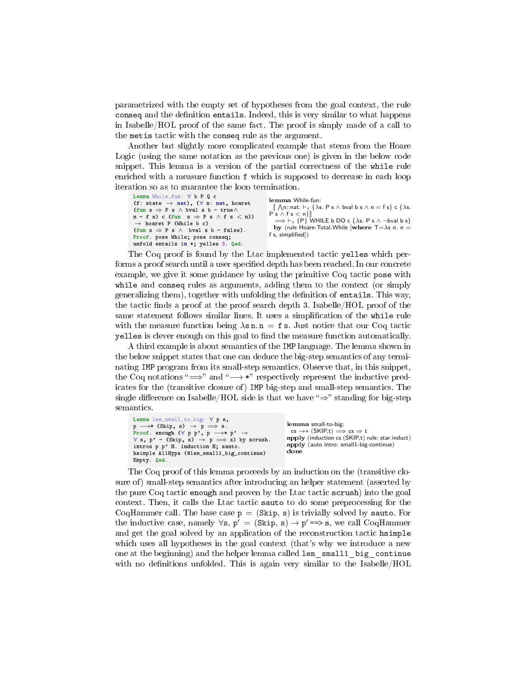parametrized with the empty set of hypotheses from the goal context, the rule conseq and the definition entails. Indeed, this is very similar to what happens in Isabelle/HOL proof of the same fact. The proof is simply made of a call to the metis tactic with the conseq rule as the argument.

Another but slightly more complicated example that stems from the Hoare Logic (using the same notation as the previous one) is given in the below code snippet. This lemma is a version of the partial correctness of the while rule enriched with a measure function f which is supposed to decrease in each loop iteration so as to guarantee the loop termination.

| Lemma While_fun: $\forall$ b P Q c<br>(f: state $\rightarrow$ nat), ( $\forall$ n: nat, hoaret<br>(fun $s \Rightarrow P s \land bval s b = true \land$<br>$n = f s$ ) c (fun $s \Rightarrow P s \wedge f s < n$ ))<br>$\rightarrow$ hoaret P (While b c)<br>$(fun s \Rightarrow P s \land bval s b = false).$<br>Proof pose While; pose conseq;<br>unfold entails in *; yelles 3. Qed. | lemma While-fun:<br>$\int \Lambda$ n::nat. $\vdash_t \{\lambda$ s. P s $\wedge$ bval b s $\wedge$ n = f s} c $\{\lambda$ s.<br>$P s \wedge fs < n$<br>$\Rightarrow$ $\vdash_t$ {P} WHILE b DO c { $\lambda$ s. P s $\land$ ¬bval b s}<br>by (rule Hoare-Total. While [where $T = \lambda s$ n. n =<br>f s, simplified) |
|----------------------------------------------------------------------------------------------------------------------------------------------------------------------------------------------------------------------------------------------------------------------------------------------------------------------------------------------------------------------------------------|------------------------------------------------------------------------------------------------------------------------------------------------------------------------------------------------------------------------------------------------------------------------------------------------------------------------|
|----------------------------------------------------------------------------------------------------------------------------------------------------------------------------------------------------------------------------------------------------------------------------------------------------------------------------------------------------------------------------------------|------------------------------------------------------------------------------------------------------------------------------------------------------------------------------------------------------------------------------------------------------------------------------------------------------------------------|

The Coq proof is found by the Ltac implemented tactic yelles which performs a proof search until a user specified depth has been reached. In our concrete example, we give it some guidance by using the primitive Coq tactic pose with while and conseq rules as arguments, adding them to the context (or simply generalizing them), together with unfolding the denition of entails. This way, the tactic finds a proof at the proof search depth 3. Isabelle/ $HOL$  proof of the same statement follows similar lines. It uses a simplication of the while rule with the measure function being  $\lambda$ s n. n = f s. Just notice that our Coq tactic yelles is clever enough on this goal to find the measure function automatically.

A third example is about semantics of the IMP language. The lemma shown in the below snippet states that one can deduce the big-step semantics of any terminating IMP program from its small-step semantics. Observe that, in this snippet, the Coq notations " $\implies$ " and " $\longrightarrow$  \*" respectively represent the inductive predicates for the (transitive closure of) IMP big-step and small-step semantics. The single difference on Isabelle/HOL side is that we have " $\Rightarrow$ " standing for big-step semantics.

The Coq proof of this lemma proceeds by an induction on the (transitive closure of) small-step semantics after introducing an helper statement (asserted by the pure Coq tactic enough and proven by the Ltac tactic scrush) into the goal context. Then, it calls the Ltac tactic sauto to do some preprocessing for the CoqHammer call. The base case  $p = (Strip, s)$  is trivially solved by sauto. For the inductive case, namely  $\forall s, p' = (\text{skip}, s) \rightarrow p' == \rangle s$ , we call CoqHammer and get the goal solved by an application of the reconstruction tactic hsimple which uses all hypotheses in the goal context (that's why we introduce a new one at the beginning) and the helper lemma called lem small1 big continue with no definitions unfolded. This is again very similar to the Isabelle/HOL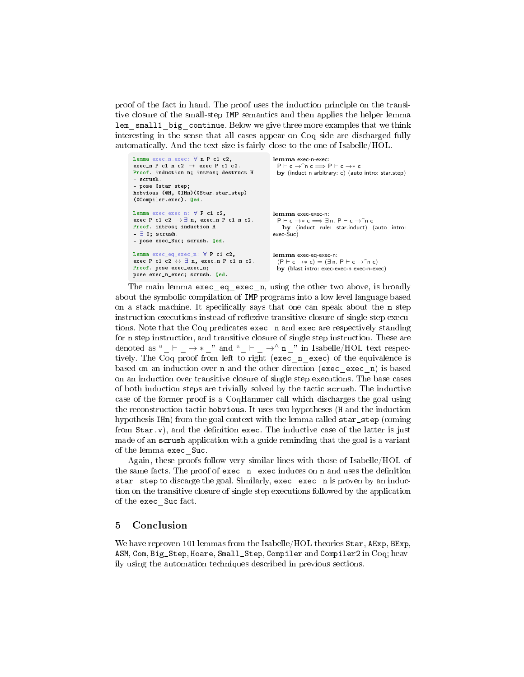proof of the fact in hand. The proof uses the induction principle on the transitive closure of the small-step IMP semantics and then applies the helper lemma lem small1 big continue. Below we give three more examples that we think interesting in the sense that all cases appear on Coq side are discharged fully automatically. And the text size is fairly close to the one of Isabelle/HOL.

| Lemma exec_n_exec: $\forall$ n P c1 c2,<br>exec_n P c1 n c2 $\rightarrow$ exec P c1 c2.<br>Proof, induction n; intros; destruct H.<br>- scrush.<br>- pose @star_step;<br>hobvious (OH, OIHn) (OStar.star_step)<br>(@Compiler.exec) Qed. | lemma exec-n-exec:<br>$P \vdash c \rightarrow \hat{P} n c \Longrightarrow P \vdash c \rightarrow * c$<br>by (induct n arbitrary: c) (auto intro: star.step)               |
|-----------------------------------------------------------------------------------------------------------------------------------------------------------------------------------------------------------------------------------------|---------------------------------------------------------------------------------------------------------------------------------------------------------------------------|
| Lemma exec_exec_n: $\forall$ P c1 c2,<br>exec P c1 c2 $\rightarrow \exists$ n, exec n P c1 n c2.<br>Proof intros: induction H.<br>$- \exists$ 0; scrush.<br>- pose exec_Suc; scrush. Qed.                                               | lemma exec-exec-n:<br>$P \vdash c \rightarrow * c \Longrightarrow \exists n. P \vdash c \rightarrow \hat{m} c$<br>by (induct rule: star.induct) (auto intro:<br>exec-Suc) |
| Lemma exec_eq_exec_n: $\forall$ P c1 c2,<br>exec P c1 c2 $\leftrightarrow$ $\exists$ n, exec n P c1 n c2.<br>Proof pose exec_exec_n;<br>pose exec_n_exec; scrush. Qed.                                                                  | lemma exec-eq-exec-n:<br>$(P \vdash c \rightarrow * c) = (\exists n. P \vdash c \rightarrow \hat{n} c)$<br>by (blast intro: exec-exec-n exec-n-exec)                      |

The main lemma exec eq exec n, using the other two above, is broadly about the symbolic compilation of IMP programs into a low level language based on a stack machine. It specifically says that one can speak about the n step instruction executions instead of reflexive transitive closure of single step executions. Note that the Coq predicates exec\_n and exec are respectively standing for n step instruction, and transitive closure of single step instruction. These are denoted as "  $\vdash$   $\rightarrow$  \*  $\cdots$  and "  $\vdash$   $\rightarrow$   $\land$  n  $\cdots$  in Isabelle/HOL text respectively. The Coq proof from left to right (exec\_n\_exec) of the equivalence is based on an induction over n and the other direction (exec exec n) is based on an induction over transitive closure of single step executions. The base cases of both induction steps are trivially solved by the tactic scrush. The inductive case of the former proof is a CoqHammer call which discharges the goal using the reconstruction tactic hobvious. It uses two hypotheses (H and the induction hypothesis IHn) from the goal context with the lemma called star\_step (coming from  $star.v$ , and the definition exec. The inductive case of the latter is just made of an scrush application with a guide reminding that the goal is a variant of the lemma exec\_Suc.

Again, these proofs follow very similar lines with those of Isabelle/HOL of the same facts. The proof of exec nexec induces on n and uses the definition star step to discarge the goal. Similarly, exec exec n is proven by an induction on the transitive closure of single step executions followed by the application of the exec\_Suc fact.

### 5 Conclusion

We have reproven 101 lemmas from the Isabelle/HOL theories Star, AExp, BExp. ASM, Com, Big\_Step, Hoare, Small\_Step, Compiler and Compiler2 in Coq; heavily using the automation techniques described in previous sections.